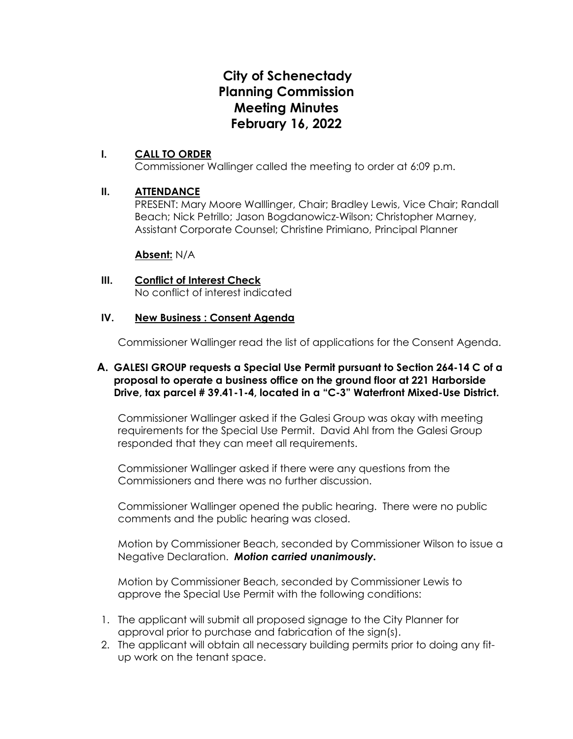# **City of Schenectady Planning Commission Meeting Minutes February 16, 2022**

# **I. CALL TO ORDER**

Commissioner Wallinger called the meeting to order at 6:09 p.m.

# **II. ATTENDANCE**

PRESENT: Mary Moore Walllinger, Chair; Bradley Lewis, Vice Chair; Randall Beach; Nick Petrillo; Jason Bogdanowicz-Wilson; Christopher Marney, Assistant Corporate Counsel; Christine Primiano, Principal Planner

# **Absent:** N/A

# **III. Conflict of Interest Check**

No conflict of interest indicated

# **IV. New Business : Consent Agenda**

Commissioner Wallinger read the list of applications for the Consent Agenda.

# **A. GALESI GROUP requests a Special Use Permit pursuant to Section 264-14 C of a proposal to operate a business office on the ground floor at 221 Harborside Drive, tax parcel # 39.41-1-4, located in a "C-3" Waterfront Mixed-Use District.**

Commissioner Wallinger asked if the Galesi Group was okay with meeting requirements for the Special Use Permit. David Ahl from the Galesi Group responded that they can meet all requirements.

Commissioner Wallinger asked if there were any questions from the Commissioners and there was no further discussion.

Commissioner Wallinger opened the public hearing. There were no public comments and the public hearing was closed.

Motion by Commissioner Beach, seconded by Commissioner Wilson to issue a Negative Declaration. *Motion carried unanimously.*

Motion by Commissioner Beach, seconded by Commissioner Lewis to approve the Special Use Permit with the following conditions:

- 1. The applicant will submit all proposed signage to the City Planner for approval prior to purchase and fabrication of the sign(s).
- 2. The applicant will obtain all necessary building permits prior to doing any fitup work on the tenant space.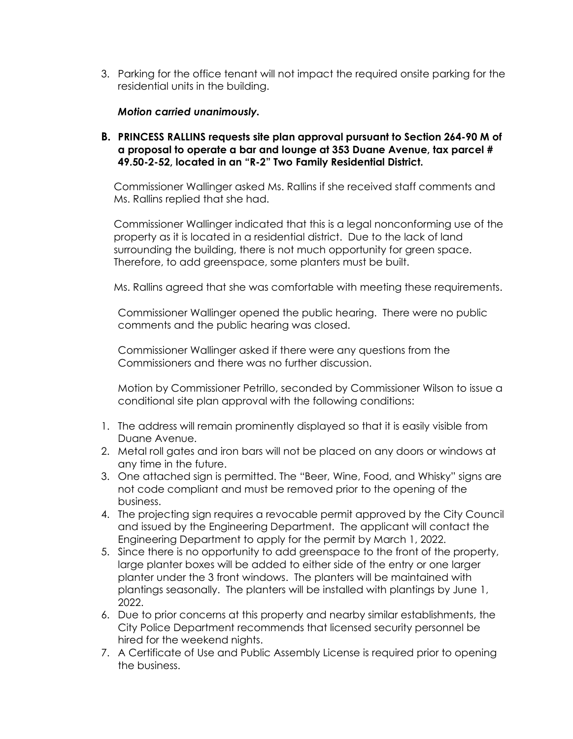3. Parking for the office tenant will not impact the required onsite parking for the residential units in the building.

# *Motion carried unanimously.*

**B. PRINCESS RALLINS requests site plan approval pursuant to Section 264-90 M of a proposal to operate a bar and lounge at 353 Duane Avenue, tax parcel # 49.50-2-52, located in an "R-2" Two Family Residential District.** 

Commissioner Wallinger asked Ms. Rallins if she received staff comments and Ms. Rallins replied that she had.

Commissioner Wallinger indicated that this is a legal nonconforming use of the property as it is located in a residential district. Due to the lack of land surrounding the building, there is not much opportunity for green space. Therefore, to add greenspace, some planters must be built.

Ms. Rallins agreed that she was comfortable with meeting these requirements.

Commissioner Wallinger opened the public hearing. There were no public comments and the public hearing was closed.

Commissioner Wallinger asked if there were any questions from the Commissioners and there was no further discussion.

Motion by Commissioner Petrillo, seconded by Commissioner Wilson to issue a conditional site plan approval with the following conditions:

- 1. The address will remain prominently displayed so that it is easily visible from Duane Avenue.
- 2. Metal roll gates and iron bars will not be placed on any doors or windows at any time in the future.
- 3. One attached sign is permitted. The "Beer, Wine, Food, and Whisky" signs are not code compliant and must be removed prior to the opening of the business.
- 4. The projecting sign requires a revocable permit approved by the City Council and issued by the Engineering Department. The applicant will contact the Engineering Department to apply for the permit by March 1, 2022.
- 5. Since there is no opportunity to add greenspace to the front of the property, large planter boxes will be added to either side of the entry or one larger planter under the 3 front windows. The planters will be maintained with plantings seasonally. The planters will be installed with plantings by June 1, 2022.
- 6. Due to prior concerns at this property and nearby similar establishments, the City Police Department recommends that licensed security personnel be hired for the weekend nights.
- 7. A Certificate of Use and Public Assembly License is required prior to opening the business.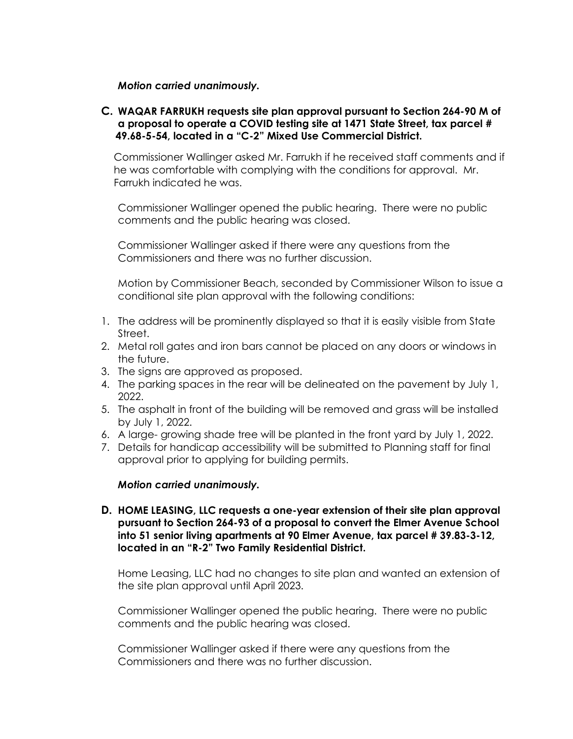# *Motion carried unanimously.*

# **C. WAQAR FARRUKH requests site plan approval pursuant to Section 264-90 M of a proposal to operate a COVID testing site at 1471 State Street, tax parcel # 49.68-5-54, located in a "C-2" Mixed Use Commercial District.**

Commissioner Wallinger asked Mr. Farrukh if he received staff comments and if he was comfortable with complying with the conditions for approval. Mr. Farrukh indicated he was.

Commissioner Wallinger opened the public hearing. There were no public comments and the public hearing was closed.

Commissioner Wallinger asked if there were any questions from the Commissioners and there was no further discussion.

Motion by Commissioner Beach, seconded by Commissioner Wilson to issue a conditional site plan approval with the following conditions:

- 1. The address will be prominently displayed so that it is easily visible from State Street.
- 2. Metal roll gates and iron bars cannot be placed on any doors or windows in the future.
- 3. The signs are approved as proposed.
- 4. The parking spaces in the rear will be delineated on the pavement by July 1, 2022.
- 5. The asphalt in front of the building will be removed and grass will be installed by July 1, 2022.
- 6. A large- growing shade tree will be planted in the front yard by July 1, 2022.
- 7. Details for handicap accessibility will be submitted to Planning staff for final approval prior to applying for building permits.

# *Motion carried unanimously.*

**D. HOME LEASING, LLC requests a one-year extension of their site plan approval pursuant to Section 264-93 of a proposal to convert the Elmer Avenue School into 51 senior living apartments at 90 Elmer Avenue, tax parcel # 39.83-3-12, located in an "R-2" Two Family Residential District.** 

Home Leasing, LLC had no changes to site plan and wanted an extension of the site plan approval until April 2023.

Commissioner Wallinger opened the public hearing. There were no public comments and the public hearing was closed.

Commissioner Wallinger asked if there were any questions from the Commissioners and there was no further discussion.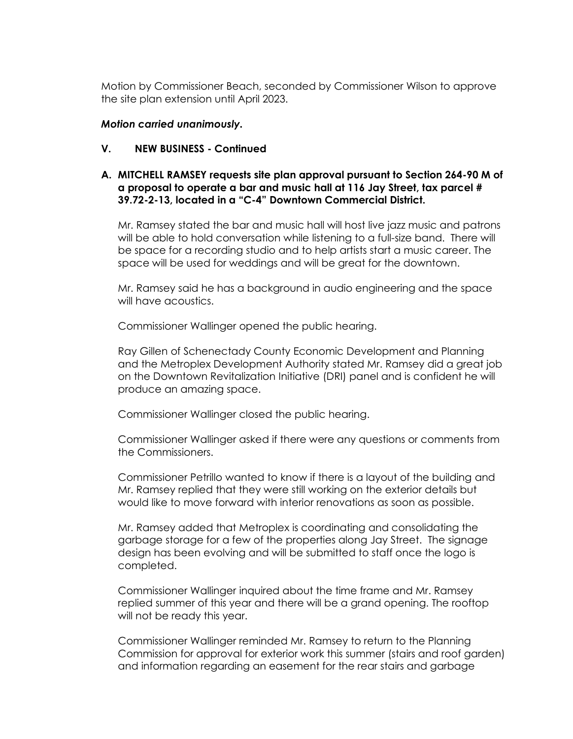Motion by Commissioner Beach, seconded by Commissioner Wilson to approve the site plan extension until April 2023.

# *Motion carried unanimously.*

#### **V. NEW BUSINESS - Continued**

# **A. MITCHELL RAMSEY requests site plan approval pursuant to Section 264-90 M of a proposal to operate a bar and music hall at 116 Jay Street, tax parcel # 39.72-2-13, located in a "C-4" Downtown Commercial District.**

Mr. Ramsey stated the bar and music hall will host live jazz music and patrons will be able to hold conversation while listening to a full-size band. There will be space for a recording studio and to help artists start a music career. The space will be used for weddings and will be great for the downtown.

Mr. Ramsey said he has a background in audio engineering and the space will have acoustics.

Commissioner Wallinger opened the public hearing.

Ray Gillen of Schenectady County Economic Development and Planning and the Metroplex Development Authority stated Mr. Ramsey did a great job on the Downtown Revitalization Initiative (DRI) panel and is confident he will produce an amazing space.

Commissioner Wallinger closed the public hearing.

Commissioner Wallinger asked if there were any questions or comments from the Commissioners.

Commissioner Petrillo wanted to know if there is a layout of the building and Mr. Ramsey replied that they were still working on the exterior details but would like to move forward with interior renovations as soon as possible.

Mr. Ramsey added that Metroplex is coordinating and consolidating the garbage storage for a few of the properties along Jay Street. The signage design has been evolving and will be submitted to staff once the logo is completed.

Commissioner Wallinger inquired about the time frame and Mr. Ramsey replied summer of this year and there will be a grand opening. The rooftop will not be ready this year.

Commissioner Wallinger reminded Mr. Ramsey to return to the Planning Commission for approval for exterior work this summer (stairs and roof garden) and information regarding an easement for the rear stairs and garbage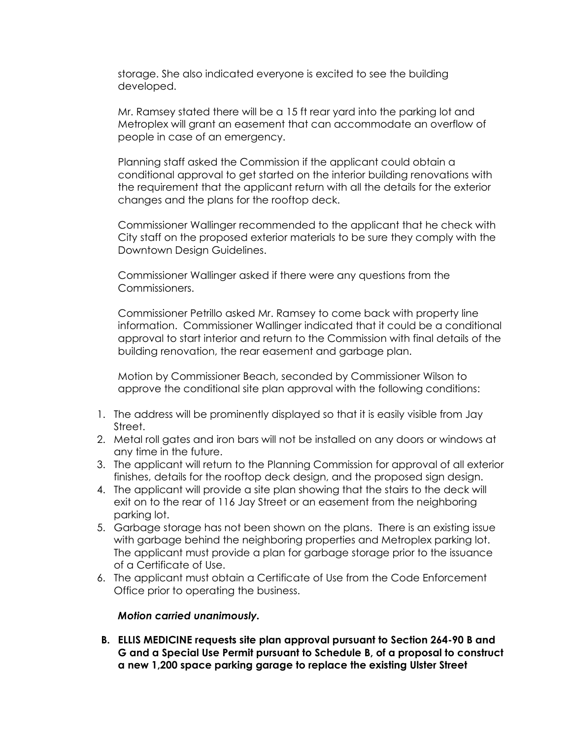storage. She also indicated everyone is excited to see the building developed.

Mr. Ramsey stated there will be a 15 ft rear yard into the parking lot and Metroplex will grant an easement that can accommodate an overflow of people in case of an emergency.

Planning staff asked the Commission if the applicant could obtain a conditional approval to get started on the interior building renovations with the requirement that the applicant return with all the details for the exterior changes and the plans for the rooftop deck.

Commissioner Wallinger recommended to the applicant that he check with City staff on the proposed exterior materials to be sure they comply with the Downtown Design Guidelines.

Commissioner Wallinger asked if there were any questions from the Commissioners.

Commissioner Petrillo asked Mr. Ramsey to come back with property line information. Commissioner Wallinger indicated that it could be a conditional approval to start interior and return to the Commission with final details of the building renovation, the rear easement and garbage plan.

Motion by Commissioner Beach, seconded by Commissioner Wilson to approve the conditional site plan approval with the following conditions:

- 1. The address will be prominently displayed so that it is easily visible from Jay Street.
- 2. Metal roll gates and iron bars will not be installed on any doors or windows at any time in the future.
- 3. The applicant will return to the Planning Commission for approval of all exterior finishes, details for the rooftop deck design, and the proposed sign design.
- 4. The applicant will provide a site plan showing that the stairs to the deck will exit on to the rear of 116 Jay Street or an easement from the neighboring parking lot.
- 5. Garbage storage has not been shown on the plans. There is an existing issue with garbage behind the neighboring properties and Metroplex parking lot. The applicant must provide a plan for garbage storage prior to the issuance of a Certificate of Use.
- 6. The applicant must obtain a Certificate of Use from the Code Enforcement Office prior to operating the business.

# *Motion carried unanimously.*

**B. ELLIS MEDICINE requests site plan approval pursuant to Section 264-90 B and G and a Special Use Permit pursuant to Schedule B, of a proposal to construct a new 1,200 space parking garage to replace the existing Ulster Street**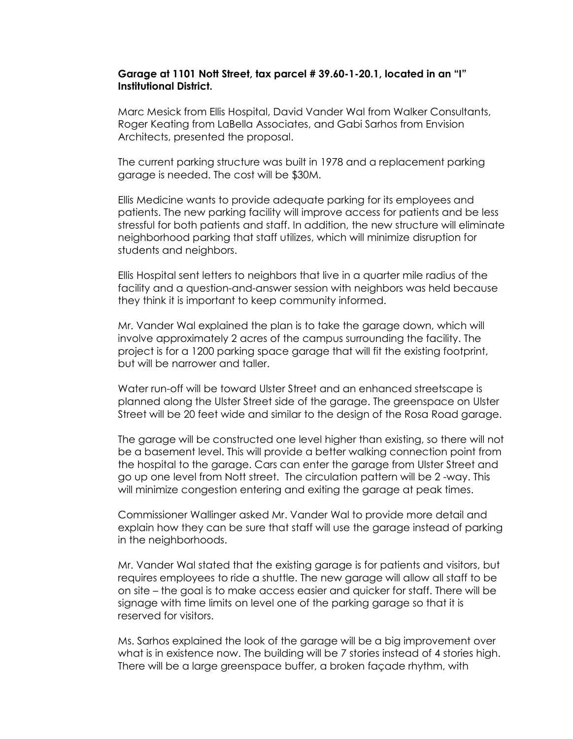#### **Garage at 1101 Nott Street, tax parcel # 39.60-1-20.1, located in an "I" Institutional District.**

Marc Mesick from Ellis Hospital, David Vander Wal from Walker Consultants, Roger Keating from LaBella Associates, and Gabi Sarhos from Envision Architects, presented the proposal.

The current parking structure was built in 1978 and a replacement parking garage is needed. The cost will be \$30M.

Ellis Medicine wants to provide adequate parking for its employees and patients. The new parking facility will improve access for patients and be less stressful for both patients and staff. In addition, the new structure will eliminate neighborhood parking that staff utilizes, which will minimize disruption for students and neighbors.

Ellis Hospital sent letters to neighbors that live in a quarter mile radius of the facility and a question-and-answer session with neighbors was held because they think it is important to keep community informed.

Mr. Vander Wal explained the plan is to take the garage down, which will involve approximately 2 acres of the campus surrounding the facility. The project is for a 1200 parking space garage that will fit the existing footprint, but will be narrower and taller.

Water run-off will be toward Ulster Street and an enhanced streetscape is planned along the Ulster Street side of the garage. The greenspace on Ulster Street will be 20 feet wide and similar to the design of the Rosa Road garage.

The garage will be constructed one level higher than existing, so there will not be a basement level. This will provide a better walking connection point from the hospital to the garage. Cars can enter the garage from Ulster Street and go up one level from Nott street. The circulation pattern will be 2 -way. This will minimize congestion entering and exiting the garage at peak times.

Commissioner Wallinger asked Mr. Vander Wal to provide more detail and explain how they can be sure that staff will use the garage instead of parking in the neighborhoods.

Mr. Vander Wal stated that the existing garage is for patients and visitors, but requires employees to ride a shuttle. The new garage will allow all staff to be on site – the goal is to make access easier and quicker for staff. There will be signage with time limits on level one of the parking garage so that it is reserved for visitors.

Ms. Sarhos explained the look of the garage will be a big improvement over what is in existence now. The building will be 7 stories instead of 4 stories high. There will be a large greenspace buffer, a broken façade rhythm, with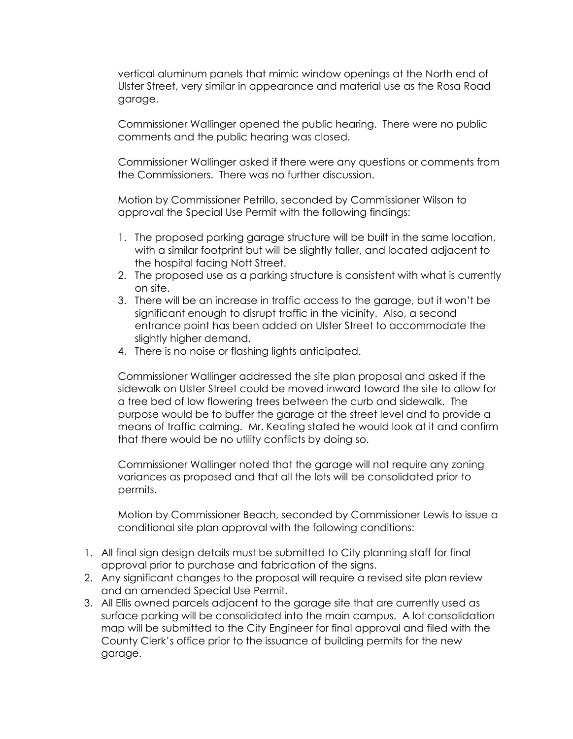vertical aluminum panels that mimic window openings at the North end of Ulster Street, very similar in appearance and material use as the Rosa Road garage.

Commissioner Wallinger opened the public hearing. There were no public comments and the public hearing was closed.

Commissioner Wallinger asked if there were any questions or comments from the Commissioners. There was no further discussion.

Motion by Commissioner Petrillo, seconded by Commissioner Wilson to approval the Special Use Permit with the following findings:

- 1. The proposed parking garage structure will be built in the same location, with a similar footprint but will be slightly taller, and located adjacent to the hospital facing Nott Street.
- 2. The proposed use as a parking structure is consistent with what is currently on site.
- 3. There will be an increase in traffic access to the garage, but it won't be significant enough to disrupt traffic in the vicinity. Also, a second entrance point has been added on Ulster Street to accommodate the slightly higher demand.
- 4. There is no noise or flashing lights anticipated.

Commissioner Wallinger addressed the site plan proposal and asked if the sidewalk on Ulster Street could be moved inward toward the site to allow for a tree bed of low flowering trees between the curb and sidewalk. The purpose would be to buffer the garage at the street level and to provide a means of traffic calming. Mr. Keating stated he would look at it and confirm that there would be no utility conflicts by doing so.

Commissioner Wallinger noted that the garage will not require any zoning variances as proposed and that all the lots will be consolidated prior to permits.

Motion by Commissioner Beach, seconded by Commissioner Lewis to issue a conditional site plan approval with the following conditions:

- 1. All final sign design details must be submitted to City planning staff for final approval prior to purchase and fabrication of the signs.
- 2. Any significant changes to the proposal will require a revised site plan review and an amended Special Use Permit.
- 3. All Ellis owned parcels adjacent to the garage site that are currently used as surface parking will be consolidated into the main campus. A lot consolidation map will be submitted to the City Engineer for final approval and filed with the County Clerk's office prior to the issuance of building permits for the new garage.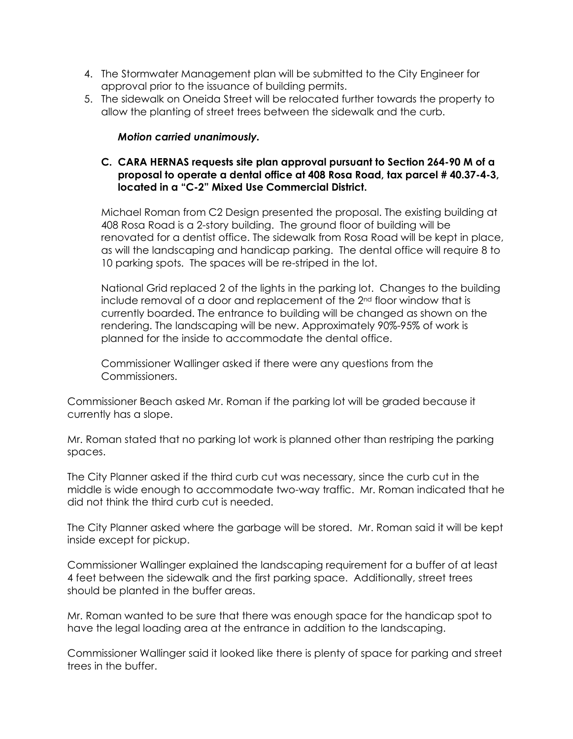- 4. The Stormwater Management plan will be submitted to the City Engineer for approval prior to the issuance of building permits.
- 5. The sidewalk on Oneida Street will be relocated further towards the property to allow the planting of street trees between the sidewalk and the curb.

# *Motion carried unanimously.*

# **C. CARA HERNAS requests site plan approval pursuant to Section 264-90 M of a proposal to operate a dental office at 408 Rosa Road, tax parcel # 40.37-4-3, located in a "C-2" Mixed Use Commercial District.**

Michael Roman from C2 Design presented the proposal. The existing building at 408 Rosa Road is a 2-story building. The ground floor of building will be renovated for a dentist office. The sidewalk from Rosa Road will be kept in place, as will the landscaping and handicap parking. The dental office will require 8 to 10 parking spots. The spaces will be re-striped in the lot.

National Grid replaced 2 of the lights in the parking lot. Changes to the building include removal of a door and replacement of the 2nd floor window that is currently boarded. The entrance to building will be changed as shown on the rendering. The landscaping will be new. Approximately 90%-95% of work is planned for the inside to accommodate the dental office.

Commissioner Wallinger asked if there were any questions from the Commissioners.

Commissioner Beach asked Mr. Roman if the parking lot will be graded because it currently has a slope.

Mr. Roman stated that no parking lot work is planned other than restriping the parking spaces.

The City Planner asked if the third curb cut was necessary, since the curb cut in the middle is wide enough to accommodate two-way traffic. Mr. Roman indicated that he did not think the third curb cut is needed.

The City Planner asked where the garbage will be stored. Mr. Roman said it will be kept inside except for pickup.

Commissioner Wallinger explained the landscaping requirement for a buffer of at least 4 feet between the sidewalk and the first parking space. Additionally, street trees should be planted in the buffer areas.

Mr. Roman wanted to be sure that there was enough space for the handicap spot to have the legal loading area at the entrance in addition to the landscaping.

Commissioner Wallinger said it looked like there is plenty of space for parking and street trees in the buffer.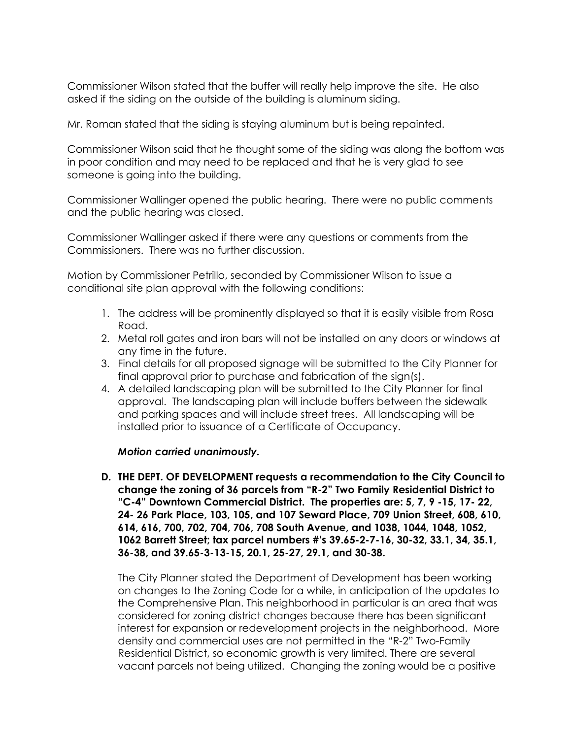Commissioner Wilson stated that the buffer will really help improve the site. He also asked if the siding on the outside of the building is aluminum siding.

Mr. Roman stated that the siding is staying aluminum but is being repainted.

Commissioner Wilson said that he thought some of the siding was along the bottom was in poor condition and may need to be replaced and that he is very glad to see someone is going into the building.

Commissioner Wallinger opened the public hearing. There were no public comments and the public hearing was closed.

Commissioner Wallinger asked if there were any questions or comments from the Commissioners. There was no further discussion.

Motion by Commissioner Petrillo, seconded by Commissioner Wilson to issue a conditional site plan approval with the following conditions:

- 1. The address will be prominently displayed so that it is easily visible from Rosa Road.
- 2. Metal roll gates and iron bars will not be installed on any doors or windows at any time in the future.
- 3. Final details for all proposed signage will be submitted to the City Planner for final approval prior to purchase and fabrication of the sign(s).
- 4. A detailed landscaping plan will be submitted to the City Planner for final approval. The landscaping plan will include buffers between the sidewalk and parking spaces and will include street trees. All landscaping will be installed prior to issuance of a Certificate of Occupancy.

# *Motion carried unanimously.*

**D. THE DEPT. OF DEVELOPMENT requests a recommendation to the City Council to change the zoning of 36 parcels from "R-2" Two Family Residential District to "C-4" Downtown Commercial District. The properties are: 5, 7, 9 -15, 17- 22, 24- 26 Park Place, 103, 105, and 107 Seward Place, 709 Union Street, 608, 610, 614, 616, 700, 702, 704, 706, 708 South Avenue, and 1038, 1044, 1048, 1052, 1062 Barrett Street; tax parcel numbers #'s 39.65-2-7-16, 30-32, 33.1, 34, 35.1, 36-38, and 39.65-3-13-15, 20.1, 25-27, 29.1, and 30-38.** 

The City Planner stated the Department of Development has been working on changes to the Zoning Code for a while, in anticipation of the updates to the Comprehensive Plan. This neighborhood in particular is an area that was considered for zoning district changes because there has been significant interest for expansion or redevelopment projects in the neighborhood. More density and commercial uses are not permitted in the "R-2" Two-Family Residential District, so economic growth is very limited. There are several vacant parcels not being utilized. Changing the zoning would be a positive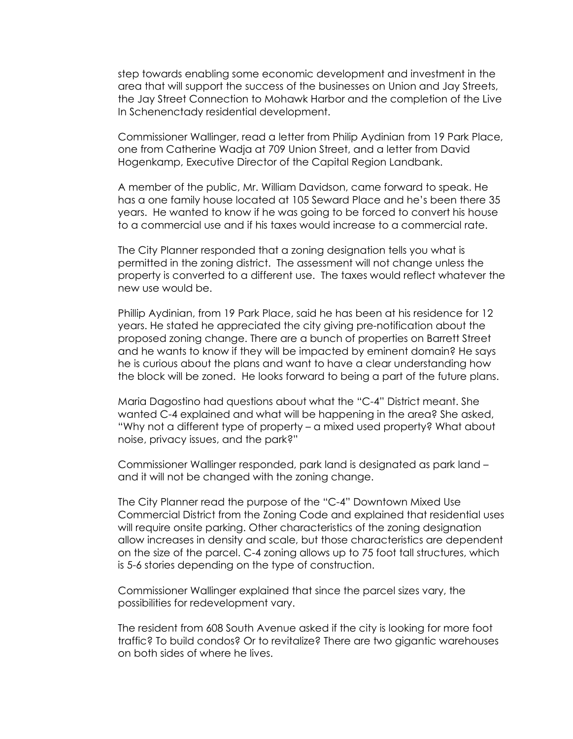step towards enabling some economic development and investment in the area that will support the success of the businesses on Union and Jay Streets, the Jay Street Connection to Mohawk Harbor and the completion of the Live In Schenenctady residential development.

Commissioner Wallinger, read a letter from Philip Aydinian from 19 Park Place, one from Catherine Wadja at 709 Union Street, and a letter from David Hogenkamp, Executive Director of the Capital Region Landbank.

A member of the public, Mr. William Davidson, came forward to speak. He has a one family house located at 105 Seward Place and he's been there 35 years. He wanted to know if he was going to be forced to convert his house to a commercial use and if his taxes would increase to a commercial rate.

The City Planner responded that a zoning designation tells you what is permitted in the zoning district. The assessment will not change unless the property is converted to a different use. The taxes would reflect whatever the new use would be.

Phillip Aydinian, from 19 Park Place, said he has been at his residence for 12 years. He stated he appreciated the city giving pre-notification about the proposed zoning change. There are a bunch of properties on Barrett Street and he wants to know if they will be impacted by eminent domain? He says he is curious about the plans and want to have a clear understanding how the block will be zoned. He looks forward to being a part of the future plans.

Maria Dagostino had questions about what the "C-4" District meant. She wanted C-4 explained and what will be happening in the area? She asked, "Why not a different type of property – a mixed used property? What about noise, privacy issues, and the park?"

Commissioner Wallinger responded, park land is designated as park land – and it will not be changed with the zoning change.

The City Planner read the purpose of the "C-4" Downtown Mixed Use Commercial District from the Zoning Code and explained that residential uses will require onsite parking. Other characteristics of the zoning designation allow increases in density and scale, but those characteristics are dependent on the size of the parcel. C-4 zoning allows up to 75 foot tall structures, which is 5-6 stories depending on the type of construction.

Commissioner Wallinger explained that since the parcel sizes vary, the possibilities for redevelopment vary.

The resident from 608 South Avenue asked if the city is looking for more foot traffic? To build condos? Or to revitalize? There are two gigantic warehouses on both sides of where he lives.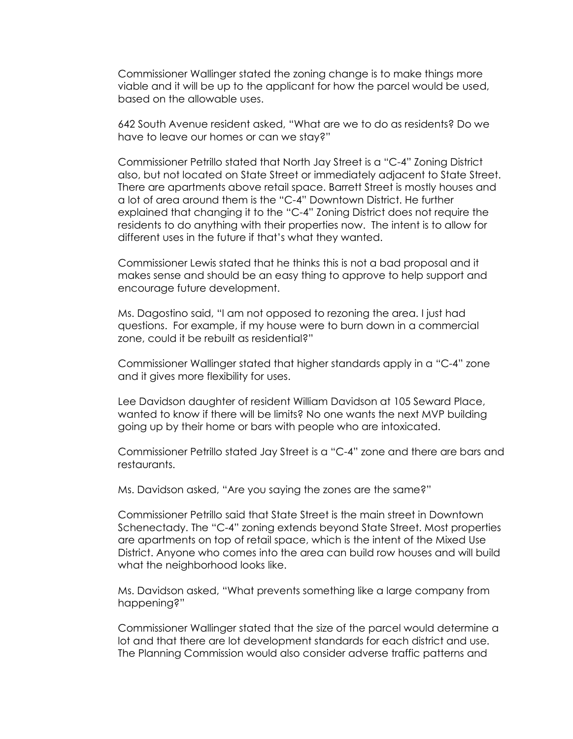Commissioner Wallinger stated the zoning change is to make things more viable and it will be up to the applicant for how the parcel would be used, based on the allowable uses.

642 South Avenue resident asked, "What are we to do as residents? Do we have to leave our homes or can we stay?"

Commissioner Petrillo stated that North Jay Street is a "C-4" Zoning District also, but not located on State Street or immediately adjacent to State Street. There are apartments above retail space. Barrett Street is mostly houses and a lot of area around them is the "C-4" Downtown District. He further explained that changing it to the "C-4" Zoning District does not require the residents to do anything with their properties now. The intent is to allow for different uses in the future if that's what they wanted.

Commissioner Lewis stated that he thinks this is not a bad proposal and it makes sense and should be an easy thing to approve to help support and encourage future development.

Ms. Dagostino said, "I am not opposed to rezoning the area. I just had questions. For example, if my house were to burn down in a commercial zone, could it be rebuilt as residential?"

Commissioner Wallinger stated that higher standards apply in a "C-4" zone and it gives more flexibility for uses.

Lee Davidson daughter of resident William Davidson at 105 Seward Place, wanted to know if there will be limits? No one wants the next MVP building going up by their home or bars with people who are intoxicated.

Commissioner Petrillo stated Jay Street is a "C-4" zone and there are bars and restaurants.

Ms. Davidson asked, "Are you saying the zones are the same?"

Commissioner Petrillo said that State Street is the main street in Downtown Schenectady. The "C-4" zoning extends beyond State Street. Most properties are apartments on top of retail space, which is the intent of the Mixed Use District. Anyone who comes into the area can build row houses and will build what the neighborhood looks like.

Ms. Davidson asked, "What prevents something like a large company from happening?"

Commissioner Wallinger stated that the size of the parcel would determine a lot and that there are lot development standards for each district and use. The Planning Commission would also consider adverse traffic patterns and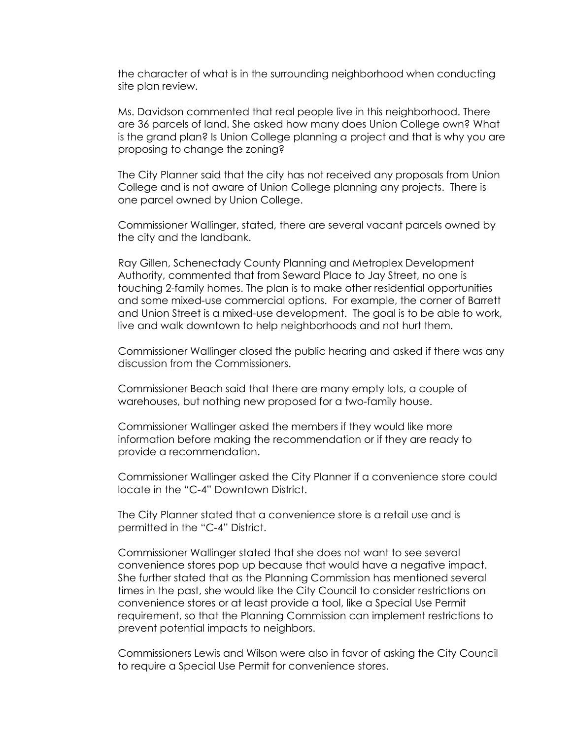the character of what is in the surrounding neighborhood when conducting site plan review.

Ms. Davidson commented that real people live in this neighborhood. There are 36 parcels of land. She asked how many does Union College own? What is the grand plan? Is Union College planning a project and that is why you are proposing to change the zoning?

The City Planner said that the city has not received any proposals from Union College and is not aware of Union College planning any projects. There is one parcel owned by Union College.

Commissioner Wallinger, stated, there are several vacant parcels owned by the city and the landbank.

Ray Gillen, Schenectady County Planning and Metroplex Development Authority, commented that from Seward Place to Jay Street, no one is touching 2-family homes. The plan is to make other residential opportunities and some mixed-use commercial options. For example, the corner of Barrett and Union Street is a mixed-use development. The goal is to be able to work, live and walk downtown to help neighborhoods and not hurt them.

Commissioner Wallinger closed the public hearing and asked if there was any discussion from the Commissioners.

Commissioner Beach said that there are many empty lots, a couple of warehouses, but nothing new proposed for a two-family house.

Commissioner Wallinger asked the members if they would like more information before making the recommendation or if they are ready to provide a recommendation.

Commissioner Wallinger asked the City Planner if a convenience store could locate in the "C-4" Downtown District.

The City Planner stated that a convenience store is a retail use and is permitted in the "C-4" District.

Commissioner Wallinger stated that she does not want to see several convenience stores pop up because that would have a negative impact. She further stated that as the Planning Commission has mentioned several times in the past, she would like the City Council to consider restrictions on convenience stores or at least provide a tool, like a Special Use Permit requirement, so that the Planning Commission can implement restrictions to prevent potential impacts to neighbors.

Commissioners Lewis and Wilson were also in favor of asking the City Council to require a Special Use Permit for convenience stores.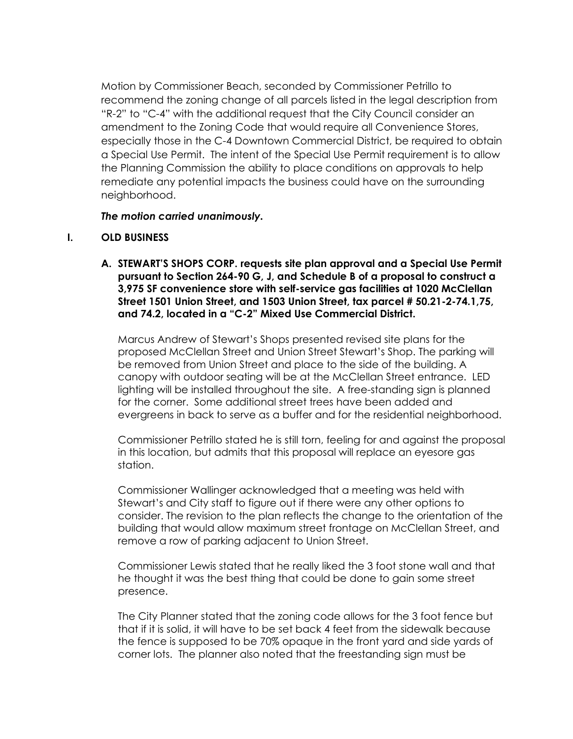Motion by Commissioner Beach, seconded by Commissioner Petrillo to recommend the zoning change of all parcels listed in the legal description from "R-2" to "C-4" with the additional request that the City Council consider an amendment to the Zoning Code that would require all Convenience Stores, especially those in the C-4 Downtown Commercial District, be required to obtain a Special Use Permit. The intent of the Special Use Permit requirement is to allow the Planning Commission the ability to place conditions on approvals to help remediate any potential impacts the business could have on the surrounding neighborhood.

# *The motion carried unanimously.*

# **I. OLD BUSINESS**

**A. STEWART'S SHOPS CORP. requests site plan approval and a Special Use Permit pursuant to Section 264-90 G, J, and Schedule B of a proposal to construct a 3,975 SF convenience store with self-service gas facilities at 1020 McClellan Street 1501 Union Street, and 1503 Union Street, tax parcel # 50.21-2-74.1,75, and 74.2, located in a "C-2" Mixed Use Commercial District.** 

Marcus Andrew of Stewart's Shops presented revised site plans for the proposed McClellan Street and Union Street Stewart's Shop. The parking will be removed from Union Street and place to the side of the building. A canopy with outdoor seating will be at the McClellan Street entrance. LED lighting will be installed throughout the site. A free-standing sign is planned for the corner. Some additional street trees have been added and evergreens in back to serve as a buffer and for the residential neighborhood.

Commissioner Petrillo stated he is still torn, feeling for and against the proposal in this location, but admits that this proposal will replace an eyesore gas station.

Commissioner Wallinger acknowledged that a meeting was held with Stewart's and City staff to figure out if there were any other options to consider. The revision to the plan reflects the change to the orientation of the building that would allow maximum street frontage on McClellan Street, and remove a row of parking adjacent to Union Street.

Commissioner Lewis stated that he really liked the 3 foot stone wall and that he thought it was the best thing that could be done to gain some street presence.

The City Planner stated that the zoning code allows for the 3 foot fence but that if it is solid, it will have to be set back 4 feet from the sidewalk because the fence is supposed to be 70% opaque in the front yard and side yards of corner lots. The planner also noted that the freestanding sign must be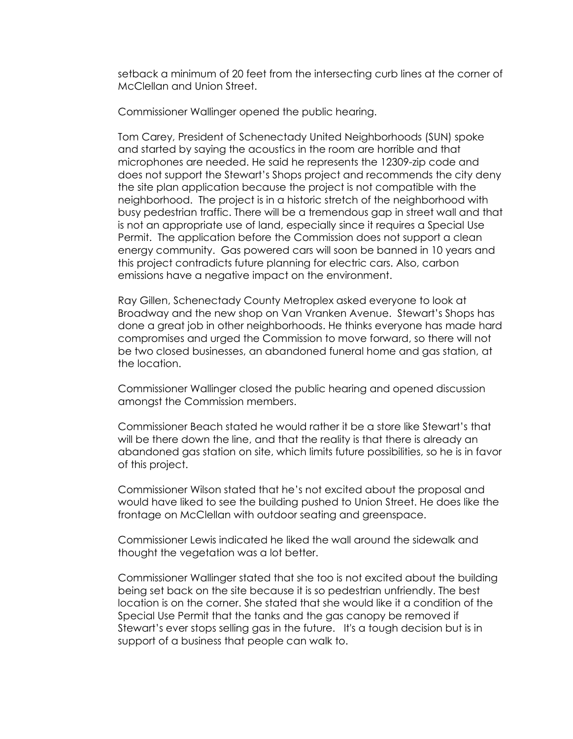setback a minimum of 20 feet from the intersecting curb lines at the corner of McClellan and Union Street.

Commissioner Wallinger opened the public hearing.

Tom Carey, President of Schenectady United Neighborhoods (SUN) spoke and started by saying the acoustics in the room are horrible and that microphones are needed. He said he represents the 12309-zip code and does not support the Stewart's Shops project and recommends the city deny the site plan application because the project is not compatible with the neighborhood. The project is in a historic stretch of the neighborhood with busy pedestrian traffic. There will be a tremendous gap in street wall and that is not an appropriate use of land, especially since it requires a Special Use Permit. The application before the Commission does not support a clean energy community. Gas powered cars will soon be banned in 10 years and this project contradicts future planning for electric cars. Also, carbon emissions have a negative impact on the environment.

Ray Gillen, Schenectady County Metroplex asked everyone to look at Broadway and the new shop on Van Vranken Avenue. Stewart's Shops has done a great job in other neighborhoods. He thinks everyone has made hard compromises and urged the Commission to move forward, so there will not be two closed businesses, an abandoned funeral home and gas station, at the location.

Commissioner Wallinger closed the public hearing and opened discussion amongst the Commission members.

Commissioner Beach stated he would rather it be a store like Stewart's that will be there down the line, and that the reality is that there is already an abandoned gas station on site, which limits future possibilities, so he is in favor of this project.

Commissioner Wilson stated that he's not excited about the proposal and would have liked to see the building pushed to Union Street. He does like the frontage on McClellan with outdoor seating and greenspace.

Commissioner Lewis indicated he liked the wall around the sidewalk and thought the vegetation was a lot better.

Commissioner Wallinger stated that she too is not excited about the building being set back on the site because it is so pedestrian unfriendly. The best location is on the corner. She stated that she would like it a condition of the Special Use Permit that the tanks and the gas canopy be removed if Stewart's ever stops selling gas in the future. It's a tough decision but is in support of a business that people can walk to.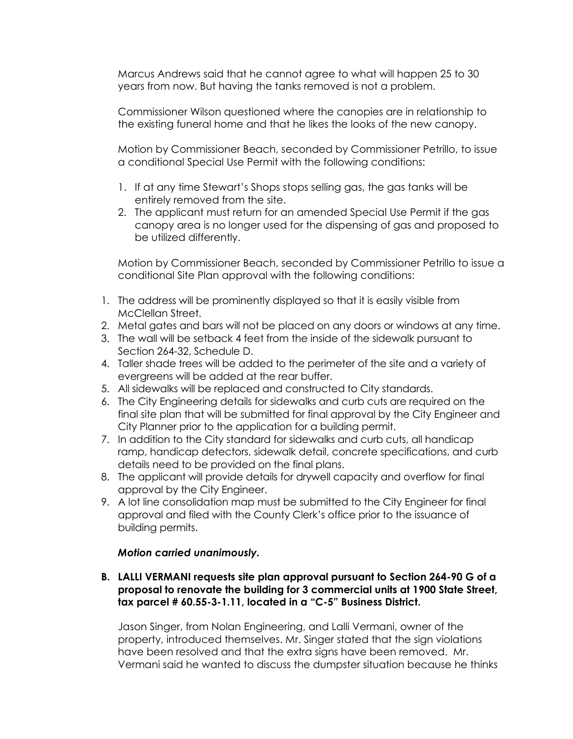Marcus Andrews said that he cannot agree to what will happen 25 to 30 years from now. But having the tanks removed is not a problem.

Commissioner Wilson questioned where the canopies are in relationship to the existing funeral home and that he likes the looks of the new canopy.

Motion by Commissioner Beach, seconded by Commissioner Petrillo, to issue a conditional Special Use Permit with the following conditions:

- 1. If at any time Stewart's Shops stops selling gas, the gas tanks will be entirely removed from the site.
- 2. The applicant must return for an amended Special Use Permit if the gas canopy area is no longer used for the dispensing of gas and proposed to be utilized differently.

Motion by Commissioner Beach, seconded by Commissioner Petrillo to issue a conditional Site Plan approval with the following conditions:

- 1. The address will be prominently displayed so that it is easily visible from McClellan Street.
- 2. Metal gates and bars will not be placed on any doors or windows at any time.
- 3. The wall will be setback 4 feet from the inside of the sidewalk pursuant to Section 264-32, Schedule D.
- 4. Taller shade trees will be added to the perimeter of the site and a variety of evergreens will be added at the rear buffer.
- 5. All sidewalks will be replaced and constructed to City standards.
- 6. The City Engineering details for sidewalks and curb cuts are required on the final site plan that will be submitted for final approval by the City Engineer and City Planner prior to the application for a building permit.
- 7. In addition to the City standard for sidewalks and curb cuts, all handicap ramp, handicap detectors, sidewalk detail, concrete specifications, and curb details need to be provided on the final plans.
- 8. The applicant will provide details for drywell capacity and overflow for final approval by the City Engineer.
- 9. A lot line consolidation map must be submitted to the City Engineer for final approval and filed with the County Clerk's office prior to the issuance of building permits.

# *Motion carried unanimously.*

**B. LALLI VERMANI requests site plan approval pursuant to Section 264-90 G of a proposal to renovate the building for 3 commercial units at 1900 State Street, tax parcel # 60.55-3-1.11, located in a "C-5" Business District.** 

Jason Singer, from Nolan Engineering, and Lalli Vermani, owner of the property, introduced themselves. Mr. Singer stated that the sign violations have been resolved and that the extra signs have been removed. Mr. Vermani said he wanted to discuss the dumpster situation because he thinks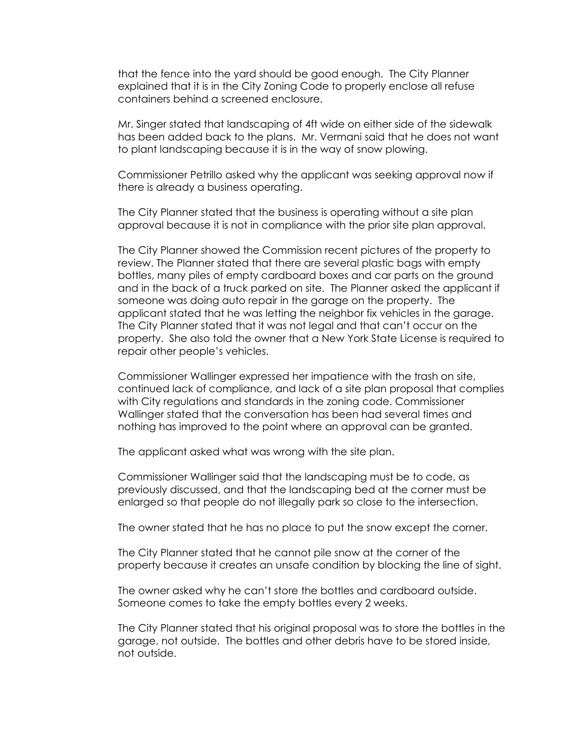that the fence into the yard should be good enough. The City Planner explained that it is in the City Zoning Code to properly enclose all refuse containers behind a screened enclosure.

Mr. Singer stated that landscaping of 4ft wide on either side of the sidewalk has been added back to the plans. Mr. Vermani said that he does not want to plant landscaping because it is in the way of snow plowing.

Commissioner Petrillo asked why the applicant was seeking approval now if there is already a business operating.

The City Planner stated that the business is operating without a site plan approval because it is not in compliance with the prior site plan approval.

The City Planner showed the Commission recent pictures of the property to review. The Planner stated that there are several plastic bags with empty bottles, many piles of empty cardboard boxes and car parts on the ground and in the back of a truck parked on site. The Planner asked the applicant if someone was doing auto repair in the garage on the property. The applicant stated that he was letting the neighbor fix vehicles in the garage. The City Planner stated that it was not legal and that can't occur on the property. She also told the owner that a New York State License is required to repair other people's vehicles.

Commissioner Wallinger expressed her impatience with the trash on site, continued lack of compliance, and lack of a site plan proposal that complies with City regulations and standards in the zoning code. Commissioner Wallinger stated that the conversation has been had several times and nothing has improved to the point where an approval can be granted.

The applicant asked what was wrong with the site plan.

Commissioner Wallinger said that the landscaping must be to code, as previously discussed, and that the landscaping bed at the corner must be enlarged so that people do not illegally park so close to the intersection.

The owner stated that he has no place to put the snow except the corner.

The City Planner stated that he cannot pile snow at the corner of the property because it creates an unsafe condition by blocking the line of sight.

The owner asked why he can't store the bottles and cardboard outside. Someone comes to take the empty bottles every 2 weeks.

The City Planner stated that his original proposal was to store the bottles in the garage, not outside. The bottles and other debris have to be stored inside, not outside.